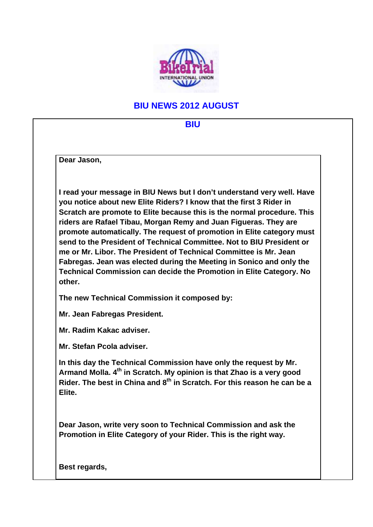

## **BIU NEWS 2012 AUGUST**

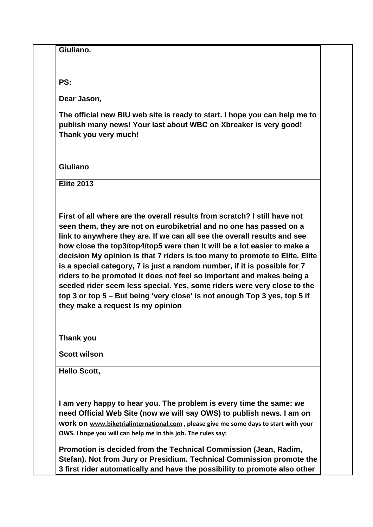| PS:<br>Dear Jason,<br>The official new BIU web site is ready to start. I hope you can help me to<br>publish many news! Your last about WBC on Xbreaker is very good!<br>Thank you very much!<br>Giuliano<br><b>Elite 2013</b><br>First of all where are the overall results from scratch? I still have not<br>seen them, they are not on eurobiketrial and no one has passed on a<br>link to anywhere they are. If we can all see the overall results and see<br>how close the top3/top4/top5 were then It will be a lot easier to make a<br>decision My opinion is that 7 riders is too many to promote to Elite. Elite<br>is a special category, 7 is just a random number, if it is possible for 7<br>riders to be promoted it does not feel so important and makes being a<br>seeded rider seem less special. Yes, some riders were very close to the<br>top 3 or top 5 - But being 'very close' is not enough Top 3 yes, top 5 if |
|----------------------------------------------------------------------------------------------------------------------------------------------------------------------------------------------------------------------------------------------------------------------------------------------------------------------------------------------------------------------------------------------------------------------------------------------------------------------------------------------------------------------------------------------------------------------------------------------------------------------------------------------------------------------------------------------------------------------------------------------------------------------------------------------------------------------------------------------------------------------------------------------------------------------------------------|
|                                                                                                                                                                                                                                                                                                                                                                                                                                                                                                                                                                                                                                                                                                                                                                                                                                                                                                                                        |
|                                                                                                                                                                                                                                                                                                                                                                                                                                                                                                                                                                                                                                                                                                                                                                                                                                                                                                                                        |
|                                                                                                                                                                                                                                                                                                                                                                                                                                                                                                                                                                                                                                                                                                                                                                                                                                                                                                                                        |
|                                                                                                                                                                                                                                                                                                                                                                                                                                                                                                                                                                                                                                                                                                                                                                                                                                                                                                                                        |
|                                                                                                                                                                                                                                                                                                                                                                                                                                                                                                                                                                                                                                                                                                                                                                                                                                                                                                                                        |
| they make a request Is my opinion                                                                                                                                                                                                                                                                                                                                                                                                                                                                                                                                                                                                                                                                                                                                                                                                                                                                                                      |
| <b>Thank you</b>                                                                                                                                                                                                                                                                                                                                                                                                                                                                                                                                                                                                                                                                                                                                                                                                                                                                                                                       |
| <b>Scott wilson</b>                                                                                                                                                                                                                                                                                                                                                                                                                                                                                                                                                                                                                                                                                                                                                                                                                                                                                                                    |
| <b>Hello Scott,</b>                                                                                                                                                                                                                                                                                                                                                                                                                                                                                                                                                                                                                                                                                                                                                                                                                                                                                                                    |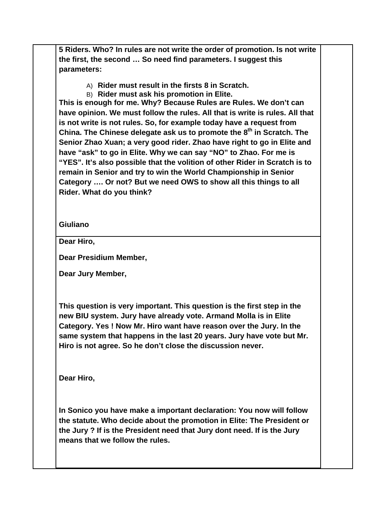**5 Riders. Who? In rules are not write the order of promotion. Is not write the first, the second … So need find parameters. I suggest this parameters:**

- A) **Rider must result in the firsts 8 in Scratch.**
- B) **Rider must ask his promotion in Elite.**

**This is enough for me. Why? Because Rules are Rules. We don't can have opinion. We must follow the rules. All that is write is rules. All that is not write is not rules. So, for example today have a request from China. The Chinese delegate ask us to promote the 8<sup>th</sup> in Scratch. The Senior Zhao Xuan; a very good rider. Zhao have right to go in Elite and have "ask" to go in Elite. Why we can say "NO" to Zhao. For me is "YES". It's also possible that the volition of other Rider in Scratch is to remain in Senior and try to win the World Championship in Senior Category …. Or not? But we need OWS to show all this things to all Rider. What do you think?**

## **Giuliano**

**Dear Hiro,**

**Dear Presidium Member,**

**Dear Jury Member,**

**This question is very important. This question is the first step in the new BIU system. Jury have already vote. Armand Molla is in Elite Category. Yes ! Now Mr. Hiro want have reason over the Jury. In the same system that happens in the last 20 years. Jury have vote but Mr. Hiro is not agree. So he don't close the discussion never.** 

**Dear Hiro,**

**In Sonico you have make a important declaration: You now will follow the statute. Who decide about the promotion in Elite: The President or the Jury ? If is the President need that Jury dont need. If is the Jury means that we follow the rules.**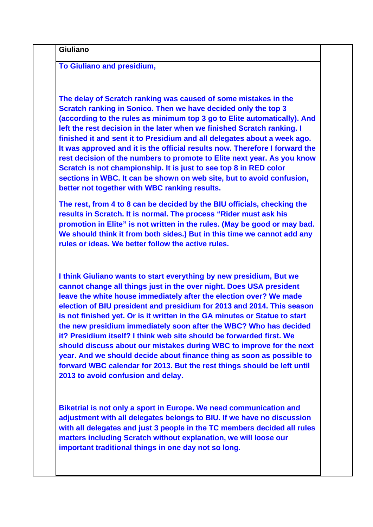| <b>To Giuliano and presidium,</b>                                                                                                                                                                                                                                                                                                                                                                                                                                                                                                                                                                                                                                                                                                                                                       |
|-----------------------------------------------------------------------------------------------------------------------------------------------------------------------------------------------------------------------------------------------------------------------------------------------------------------------------------------------------------------------------------------------------------------------------------------------------------------------------------------------------------------------------------------------------------------------------------------------------------------------------------------------------------------------------------------------------------------------------------------------------------------------------------------|
| The delay of Scratch ranking was caused of some mistakes in the<br>Scratch ranking in Sonico. Then we have decided only the top 3<br>(according to the rules as minimum top 3 go to Elite automatically). And<br>left the rest decision in the later when we finished Scratch ranking. I<br>finished it and sent it to Presidium and all delegates about a week ago.<br>It was approved and it is the official results now. Therefore I forward the<br>rest decision of the numbers to promote to Elite next year. As you know<br>Scratch is not championship. It is just to see top 8 in RED color<br>sections in WBC. It can be shown on web site, but to avoid confusion,<br>better not together with WBC ranking results.                                                           |
| The rest, from 4 to 8 can be decided by the BIU officials, checking the<br>results in Scratch. It is normal. The process "Rider must ask his<br>promotion in Elite" is not written in the rules. (May be good or may bad.<br>We should think it from both sides.) But in this time we cannot add any<br>rules or ideas. We better follow the active rules.                                                                                                                                                                                                                                                                                                                                                                                                                              |
| I think Giuliano wants to start everything by new presidium, But we<br>cannot change all things just in the over night. Does USA president<br>leave the white house immediately after the election over? We made<br>election of BIU president and presidium for 2013 and 2014. This season<br>is not finished yet. Or is it written in the GA minutes or Statue to start<br>the new presidium immediately soon after the WBC? Who has decided<br>it? Presidium itself? I think web site should be forwarded first. We<br>should discuss about our mistakes during WBC to improve for the next<br>year. And we should decide about finance thing as soon as possible to<br>forward WBC calendar for 2013. But the rest things should be left until<br>2013 to avoid confusion and delay. |
| Biketrial is not only a sport in Europe. We need communication and<br>adjustment with all delegates belongs to BIU. If we have no discussion<br>with all delegates and just 3 people in the TC members decided all rules<br>matters including Scratch without explanation, we will loose our<br>important traditional things in one day not so long.                                                                                                                                                                                                                                                                                                                                                                                                                                    |